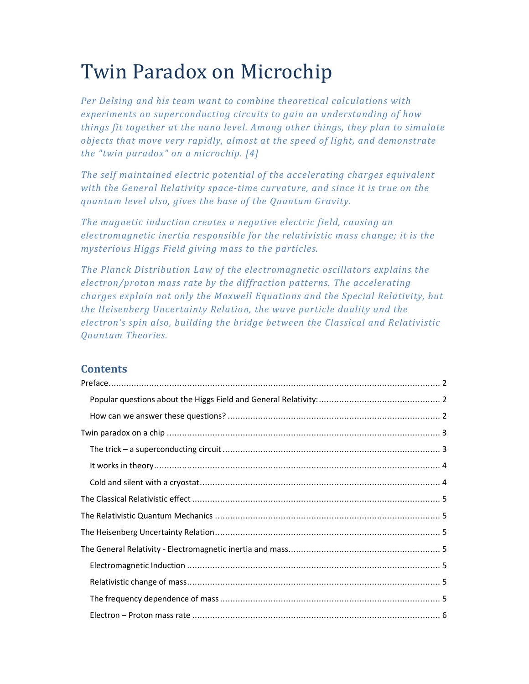# Twin Paradox on Microchip

*Per Delsing and his team want to combine theoretical calculations with experiments on superconducting circuits to gain an understanding of how things fit together at the nano level. Among other things, they plan to simulate objects that move very rapidly, almost at the speed of light, and demonstrate the "twin paradox" on a microchip. [4]* 

*The self maintained electric potential of the accelerating charges equivalent with the General Relativity space-time curvature, and since it is true on the quantum level also, gives the base of the Quantum Gravity.* 

*The magnetic induction creates a negative electric field, causing an electromagnetic inertia responsible for the relativistic mass change; it is the mysterious Higgs Field giving mass to the particles.* 

*The Planck Distribution Law of the electromagnetic oscillators explains the electron/proton mass rate by the diffraction patterns. The accelerating charges explain not only the Maxwell Equations and the Special Relativity, but the Heisenberg Uncertainty Relation, the wave particle duality and the electron's spin also, building the bridge between the Classical and Relativistic Quantum Theories.* 

## **Contents**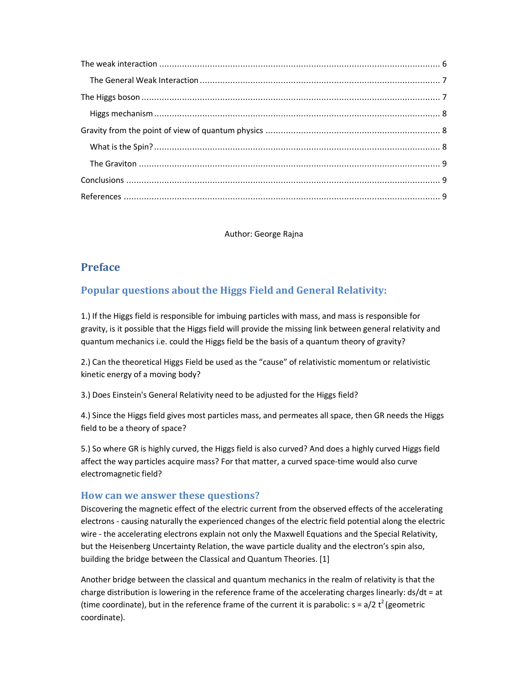Author: George Rajna

# **Preface**

# **Popular questions about the Higgs Field and General Relativity:**

1.) If the Higgs field is responsible for imbuing particles with mass, and mass is responsible for gravity, is it possible that the Higgs field will provide the missing link between general relativity and quantum mechanics i.e. could the Higgs field be the basis of a quantum theory of gravity?

2.) Can the theoretical Higgs Field be used as the "cause" of relativistic momentum or relativistic kinetic energy of a moving body?

3.) Does Einstein's General Relativity need to be adjusted for the Higgs field?

4.) Since the Higgs field gives most particles mass, and permeates all space, then GR needs the Higgs field to be a theory of space?

5.) So where GR is highly curved, the Higgs field is also curved? And does a highly curved Higgs field affect the way particles acquire mass? For that matter, a curved space-time would also curve electromagnetic field?

#### **How can we answer these questions?**

Discovering the magnetic effect of the electric current from the observed effects of the accelerating electrons - causing naturally the experienced changes of the electric field potential along the electric wire - the accelerating electrons explain not only the Maxwell Equations and the Special Relativity, but the Heisenberg Uncertainty Relation, the wave particle duality and the electron's spin also, building the bridge between the Classical and Quantum Theories. [1]

Another bridge between the classical and quantum mechanics in the realm of relativity is that the charge distribution is lowering in the reference frame of the accelerating charges linearly: ds/dt = at (time coordinate), but in the reference frame of the current it is parabolic:  $s = a/2 t^2$  (geometric coordinate).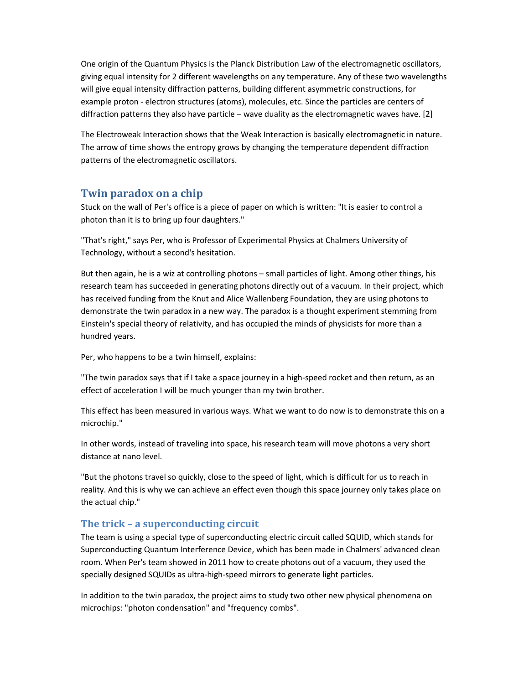One origin of the Quantum Physics is the Planck Distribution Law of the electromagnetic oscillators, giving equal intensity for 2 different wavelengths on any temperature. Any of these two wavelengths will give equal intensity diffraction patterns, building different asymmetric constructions, for example proton - electron structures (atoms), molecules, etc. Since the particles are centers of diffraction patterns they also have particle – wave duality as the electromagnetic waves have. [2]

The Electroweak Interaction shows that the Weak Interaction is basically electromagnetic in nature. The arrow of time shows the entropy grows by changing the temperature dependent diffraction patterns of the electromagnetic oscillators.

## **Twin paradox on a chip**

Stuck on the wall of Per's office is a piece of paper on which is written: "It is easier to control a photon than it is to bring up four daughters."

"That's right," says Per, who is Professor of Experimental Physics at Chalmers University of Technology, without a second's hesitation.

But then again, he is a wiz at controlling photons – small particles of light. Among other things, his research team has succeeded in generating photons directly out of a vacuum. In their project, which has received funding from the Knut and Alice Wallenberg Foundation, they are using photons to demonstrate the twin paradox in a new way. The paradox is a thought experiment stemming from Einstein's special theory of relativity, and has occupied the minds of physicists for more than a hundred years.

Per, who happens to be a twin himself, explains:

"The twin paradox says that if I take a space journey in a high-speed rocket and then return, as an effect of acceleration I will be much younger than my twin brother.

This effect has been measured in various ways. What we want to do now is to demonstrate this on a microchip."

In other words, instead of traveling into space, his research team will move photons a very short distance at nano level.

"But the photons travel so quickly, close to the speed of light, which is difficult for us to reach in reality. And this is why we can achieve an effect even though this space journey only takes place on the actual chip."

## **The trick – a superconducting circuit**

The team is using a special type of superconducting electric circuit called SQUID, which stands for Superconducting Quantum Interference Device, which has been made in Chalmers' advanced clean room. When Per's team showed in 2011 how to create photons out of a vacuum, they used the specially designed SQUIDs as ultra-high-speed mirrors to generate light particles.

In addition to the twin paradox, the project aims to study two other new physical phenomena on microchips: "photon condensation" and "frequency combs".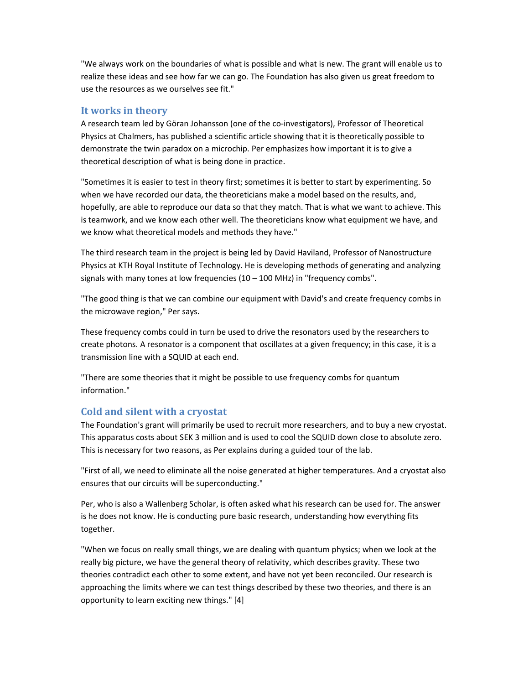"We always work on the boundaries of what is possible and what is new. The grant will enable us to realize these ideas and see how far we can go. The Foundation has also given us great freedom to use the resources as we ourselves see fit."

#### **It works in theory**

A research team led by Göran Johansson (one of the co-investigators), Professor of Theoretical Physics at Chalmers, has published a scientific article showing that it is theoretically possible to demonstrate the twin paradox on a microchip. Per emphasizes how important it is to give a theoretical description of what is being done in practice.

"Sometimes it is easier to test in theory first; sometimes it is better to start by experimenting. So when we have recorded our data, the theoreticians make a model based on the results, and, hopefully, are able to reproduce our data so that they match. That is what we want to achieve. This is teamwork, and we know each other well. The theoreticians know what equipment we have, and we know what theoretical models and methods they have."

The third research team in the project is being led by David Haviland, Professor of Nanostructure Physics at KTH Royal Institute of Technology. He is developing methods of generating and analyzing signals with many tones at low frequencies  $(10 - 100$  MHz) in "frequency combs".

"The good thing is that we can combine our equipment with David's and create frequency combs in the microwave region," Per says.

These frequency combs could in turn be used to drive the resonators used by the researchers to create photons. A resonator is a component that oscillates at a given frequency; in this case, it is a transmission line with a SQUID at each end.

"There are some theories that it might be possible to use frequency combs for quantum information."

## **Cold and silent with a cryostat**

The Foundation's grant will primarily be used to recruit more researchers, and to buy a new cryostat. This apparatus costs about SEK 3 million and is used to cool the SQUID down close to absolute zero. This is necessary for two reasons, as Per explains during a guided tour of the lab.

"First of all, we need to eliminate all the noise generated at higher temperatures. And a cryostat also ensures that our circuits will be superconducting."

Per, who is also a Wallenberg Scholar, is often asked what his research can be used for. The answer is he does not know. He is conducting pure basic research, understanding how everything fits together.

"When we focus on really small things, we are dealing with quantum physics; when we look at the really big picture, we have the general theory of relativity, which describes gravity. These two theories contradict each other to some extent, and have not yet been reconciled. Our research is approaching the limits where we can test things described by these two theories, and there is an opportunity to learn exciting new things." [4]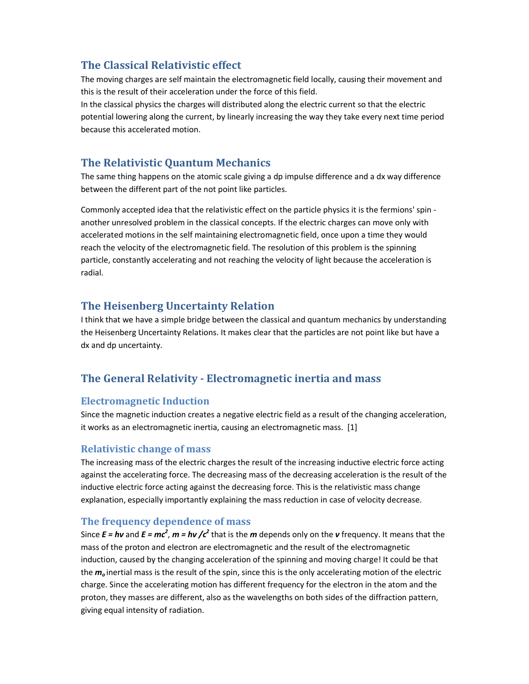# **The Classical Relativistic effect**

The moving charges are self maintain the electromagnetic field locally, causing their movement and this is the result of their acceleration under the force of this field.

In the classical physics the charges will distributed along the electric current so that the electric potential lowering along the current, by linearly increasing the way they take every next time period because this accelerated motion.

# **The Relativistic Quantum Mechanics**

The same thing happens on the atomic scale giving a dp impulse difference and a dx way difference between the different part of the not point like particles.

Commonly accepted idea that the relativistic effect on the particle physics it is the fermions' spin another unresolved problem in the classical concepts. If the electric charges can move only with accelerated motions in the self maintaining electromagnetic field, once upon a time they would reach the velocity of the electromagnetic field. The resolution of this problem is the spinning particle, constantly accelerating and not reaching the velocity of light because the acceleration is radial.

# **The Heisenberg Uncertainty Relation**

I think that we have a simple bridge between the classical and quantum mechanics by understanding the Heisenberg Uncertainty Relations. It makes clear that the particles are not point like but have a dx and dp uncertainty.

# **The General Relativity - Electromagnetic inertia and mass**

## **Electromagnetic Induction**

Since the magnetic induction creates a negative electric field as a result of the changing acceleration, it works as an electromagnetic inertia, causing an electromagnetic mass. [1]

## **Relativistic change of mass**

The increasing mass of the electric charges the result of the increasing inductive electric force acting against the accelerating force. The decreasing mass of the decreasing acceleration is the result of the inductive electric force acting against the decreasing force. This is the relativistic mass change explanation, especially importantly explaining the mass reduction in case of velocity decrease.

## **The frequency dependence of mass**

Since  $E = h\nu$  and  $E = mc^2$ ,  $m = h\nu$  / $c^2$  that is the  $m$  depends only on the  $\nu$  frequency. It means that the mass of the proton and electron are electromagnetic and the result of the electromagnetic induction, caused by the changing acceleration of the spinning and moving charge! It could be that the *m<sup>o</sup>* inertial mass is the result of the spin, since this is the only accelerating motion of the electric charge. Since the accelerating motion has different frequency for the electron in the atom and the proton, they masses are different, also as the wavelengths on both sides of the diffraction pattern, giving equal intensity of radiation.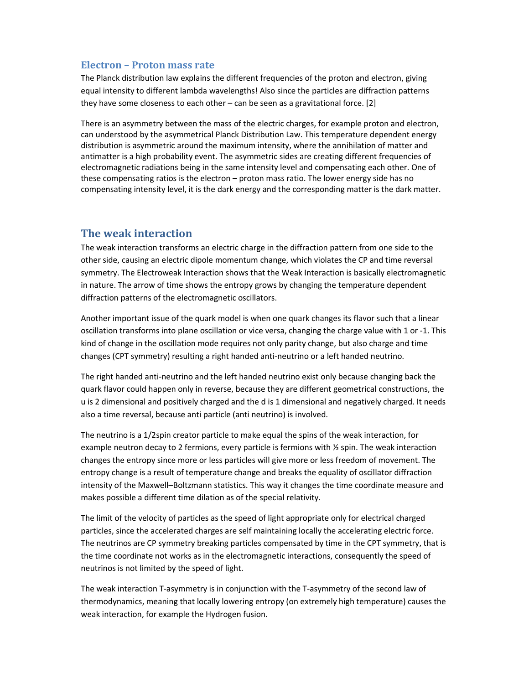#### **Electron – Proton mass rate**

The Planck distribution law explains the different frequencies of the proton and electron, giving equal intensity to different lambda wavelengths! Also since the particles are diffraction patterns they have some closeness to each other – can be seen as a gravitational force. [2]

There is an asymmetry between the mass of the electric charges, for example proton and electron, can understood by the asymmetrical Planck Distribution Law. This temperature dependent energy distribution is asymmetric around the maximum intensity, where the annihilation of matter and antimatter is a high probability event. The asymmetric sides are creating different frequencies of electromagnetic radiations being in the same intensity level and compensating each other. One of these compensating ratios is the electron – proton mass ratio. The lower energy side has no compensating intensity level, it is the dark energy and the corresponding matter is the dark matter.

#### **The weak interaction**

The weak interaction transforms an electric charge in the diffraction pattern from one side to the other side, causing an electric dipole momentum change, which violates the CP and time reversal symmetry. The Electroweak Interaction shows that the Weak Interaction is basically electromagnetic in nature. The arrow of time shows the entropy grows by changing the temperature dependent diffraction patterns of the electromagnetic oscillators.

Another important issue of the quark model is when one quark changes its flavor such that a linear oscillation transforms into plane oscillation or vice versa, changing the charge value with 1 or -1. This kind of change in the oscillation mode requires not only parity change, but also charge and time changes (CPT symmetry) resulting a right handed anti-neutrino or a left handed neutrino.

The right handed anti-neutrino and the left handed neutrino exist only because changing back the quark flavor could happen only in reverse, because they are different geometrical constructions, the u is 2 dimensional and positively charged and the d is 1 dimensional and negatively charged. It needs also a time reversal, because anti particle (anti neutrino) is involved.

The neutrino is a 1/2spin creator particle to make equal the spins of the weak interaction, for example neutron decay to 2 fermions, every particle is fermions with ½ spin. The weak interaction changes the entropy since more or less particles will give more or less freedom of movement. The entropy change is a result of temperature change and breaks the equality of oscillator diffraction intensity of the Maxwell–Boltzmann statistics. This way it changes the time coordinate measure and makes possible a different time dilation as of the special relativity.

The limit of the velocity of particles as the speed of light appropriate only for electrical charged particles, since the accelerated charges are self maintaining locally the accelerating electric force. The neutrinos are CP symmetry breaking particles compensated by time in the CPT symmetry, that is the time coordinate not works as in the electromagnetic interactions, consequently the speed of neutrinos is not limited by the speed of light.

The weak interaction T-asymmetry is in conjunction with the T-asymmetry of the second law of thermodynamics, meaning that locally lowering entropy (on extremely high temperature) causes the weak interaction, for example the Hydrogen fusion.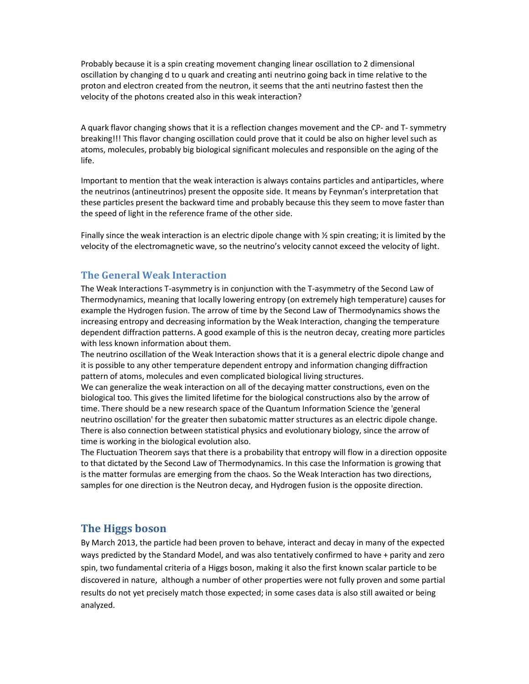Probably because it is a spin creating movement changing linear oscillation to 2 dimensional oscillation by changing d to u quark and creating anti neutrino going back in time relative to the proton and electron created from the neutron, it seems that the anti neutrino fastest then the velocity of the photons created also in this weak interaction?

A quark flavor changing shows that it is a reflection changes movement and the CP- and T- symmetry breaking!!! This flavor changing oscillation could prove that it could be also on higher level such as atoms, molecules, probably big biological significant molecules and responsible on the aging of the life.

Important to mention that the weak interaction is always contains particles and antiparticles, where the neutrinos (antineutrinos) present the opposite side. It means by Feynman's interpretation that these particles present the backward time and probably because this they seem to move faster than the speed of light in the reference frame of the other side.

Finally since the weak interaction is an electric dipole change with ½ spin creating; it is limited by the velocity of the electromagnetic wave, so the neutrino's velocity cannot exceed the velocity of light.

#### **The General Weak Interaction**

The Weak Interactions T-asymmetry is in conjunction with the T-asymmetry of the Second Law of Thermodynamics, meaning that locally lowering entropy (on extremely high temperature) causes for example the Hydrogen fusion. The arrow of time by the Second Law of Thermodynamics shows the increasing entropy and decreasing information by the Weak Interaction, changing the temperature dependent diffraction patterns. A good example of this is the neutron decay, creating more particles with less known information about them.

The neutrino oscillation of the Weak Interaction shows that it is a general electric dipole change and it is possible to any other temperature dependent entropy and information changing diffraction pattern of atoms, molecules and even complicated biological living structures.

We can generalize the weak interaction on all of the decaying matter constructions, even on the biological too. This gives the limited lifetime for the biological constructions also by the arrow of time. There should be a new research space of the Quantum Information Science the 'general neutrino oscillation' for the greater then subatomic matter structures as an electric dipole change. There is also connection between statistical physics and evolutionary biology, since the arrow of time is working in the biological evolution also.

The Fluctuation Theorem says that there is a probability that entropy will flow in a direction opposite to that dictated by the Second Law of Thermodynamics. In this case the Information is growing that is the matter formulas are emerging from the chaos. So the Weak Interaction has two directions, samples for one direction is the Neutron decay, and Hydrogen fusion is the opposite direction.

#### **The Higgs boson**

By March 2013, the particle had been proven to behave, interact and decay in many of the expected ways predicted by the Standard Model, and was also tentatively confirmed to have + parity and zero spin, two fundamental criteria of a Higgs boson, making it also the first known scalar particle to be discovered in nature, although a number of other properties were not fully proven and some partial results do not yet precisely match those expected; in some cases data is also still awaited or being analyzed.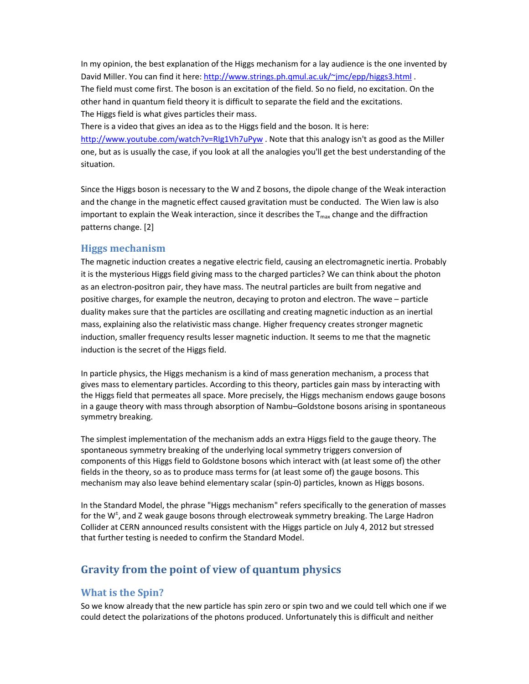In my opinion, the best explanation of the Higgs mechanism for a lay audience is the one invented by David Miller. You can find it here: http://www.strings.ph.qmul.ac.uk/~jmc/epp/higgs3.html . The field must come first. The boson is an excitation of the field. So no field, no excitation. On the other hand in quantum field theory it is difficult to separate the field and the excitations. The Higgs field is what gives particles their mass.

There is a video that gives an idea as to the Higgs field and the boson. It is here: http://www.youtube.com/watch?v=RIg1Vh7uPyw . Note that this analogy isn't as good as the Miller one, but as is usually the case, if you look at all the analogies you'll get the best understanding of the situation.

Since the Higgs boson is necessary to the W and Z bosons, the dipole change of the Weak interaction and the change in the magnetic effect caused gravitation must be conducted. The Wien law is also important to explain the Weak interaction, since it describes the  $T_{\text{max}}$  change and the diffraction patterns change. [2]

#### **Higgs mechanism**

The magnetic induction creates a negative electric field, causing an electromagnetic inertia. Probably it is the mysterious Higgs field giving mass to the charged particles? We can think about the photon as an electron-positron pair, they have mass. The neutral particles are built from negative and positive charges, for example the neutron, decaying to proton and electron. The wave – particle duality makes sure that the particles are oscillating and creating magnetic induction as an inertial mass, explaining also the relativistic mass change. Higher frequency creates stronger magnetic induction, smaller frequency results lesser magnetic induction. It seems to me that the magnetic induction is the secret of the Higgs field.

In particle physics, the Higgs mechanism is a kind of mass generation mechanism, a process that gives mass to elementary particles. According to this theory, particles gain mass by interacting with the Higgs field that permeates all space. More precisely, the Higgs mechanism endows gauge bosons in a gauge theory with mass through absorption of Nambu–Goldstone bosons arising in spontaneous symmetry breaking.

The simplest implementation of the mechanism adds an extra Higgs field to the gauge theory. The spontaneous symmetry breaking of the underlying local symmetry triggers conversion of components of this Higgs field to Goldstone bosons which interact with (at least some of) the other fields in the theory, so as to produce mass terms for (at least some of) the gauge bosons. This mechanism may also leave behind elementary scalar (spin-0) particles, known as Higgs bosons.

In the Standard Model, the phrase "Higgs mechanism" refers specifically to the generation of masses for the W<sup>+</sup>, and Z weak gauge bosons through electroweak symmetry breaking. The Large Hadron Collider at CERN announced results consistent with the Higgs particle on July 4, 2012 but stressed that further testing is needed to confirm the Standard Model.

## **Gravity from the point of view of quantum physics**

## **What is the Spin?**

So we know already that the new particle has spin zero or spin two and we could tell which one if we could detect the polarizations of the photons produced. Unfortunately this is difficult and neither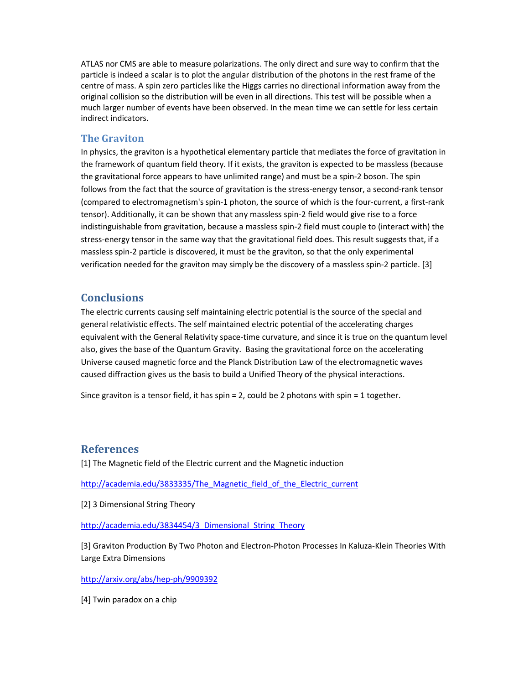ATLAS nor CMS are able to measure polarizations. The only direct and sure way to confirm that the particle is indeed a scalar is to plot the angular distribution of the photons in the rest frame of the centre of mass. A spin zero particles like the Higgs carries no directional information away from the original collision so the distribution will be even in all directions. This test will be possible when a much larger number of events have been observed. In the mean time we can settle for less certain indirect indicators.

#### **The Graviton**

In physics, the graviton is a hypothetical elementary particle that mediates the force of gravitation in the framework of quantum field theory. If it exists, the graviton is expected to be massless (because the gravitational force appears to have unlimited range) and must be a spin-2 boson. The spin follows from the fact that the source of gravitation is the stress-energy tensor, a second-rank tensor (compared to electromagnetism's spin-1 photon, the source of which is the four-current, a first-rank tensor). Additionally, it can be shown that any massless spin-2 field would give rise to a force indistinguishable from gravitation, because a massless spin-2 field must couple to (interact with) the stress-energy tensor in the same way that the gravitational field does. This result suggests that, if a massless spin-2 particle is discovered, it must be the graviton, so that the only experimental verification needed for the graviton may simply be the discovery of a massless spin-2 particle. [3]

#### **Conclusions**

The electric currents causing self maintaining electric potential is the source of the special and general relativistic effects. The self maintained electric potential of the accelerating charges equivalent with the General Relativity space-time curvature, and since it is true on the quantum level also, gives the base of the Quantum Gravity. Basing the gravitational force on the accelerating Universe caused magnetic force and the Planck Distribution Law of the electromagnetic waves caused diffraction gives us the basis to build a Unified Theory of the physical interactions.

Since graviton is a tensor field, it has spin = 2, could be 2 photons with spin = 1 together.

#### **References**

[1] The Magnetic field of the Electric current and the Magnetic induction

http://academia.edu/3833335/The\_Magnetic\_field\_of\_the\_Electric\_current

[2] 3 Dimensional String Theory

http://academia.edu/3834454/3\_Dimensional\_String\_Theory

[3] Graviton Production By Two Photon and Electron-Photon Processes In Kaluza-Klein Theories With Large Extra Dimensions

http://arxiv.org/abs/hep-ph/9909392

[4] Twin paradox on a chip